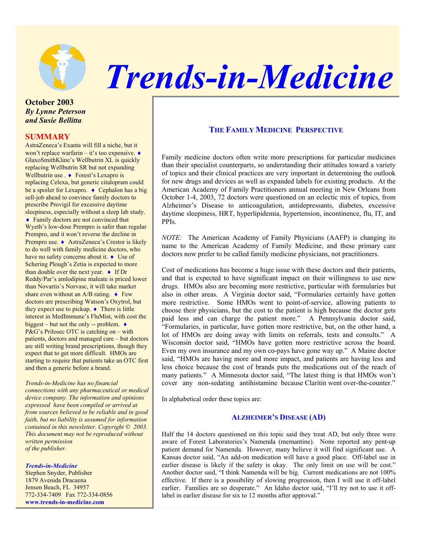

# *Trends-in-Medicine*

# **October 2003**  *By Lynne Peterson and Susie Bellitta*

# **SUMMARY**

AstraZeneca's Exanta will fill a niche, but it won't replace warfarin – it's too expensive.  $\bullet$ GlaxoSmithKline's Wellbutrin XL is quickly replacing Wellbutrin SR but not expanding Wellbutrin use . ♦ Forest's Lexapro is replacing Celexa, but generic citalopram could be a spoiler for Lexapro. ♦ Cephalon has a big sell-job ahead to convince family doctors to prescribe Provigil for excessive daytime sleepiness, especially without a sleep lab study. ♦ Family doctors are not convinced that Wyeth's low-dose Prempro is safer than regular Prempro, and it won't reverse the decline in Prempro use. ♦ AstraZeneca's Crestor is likely to do well with family medicine doctors, who have no safety concerns about it. ♦ Use of Schering Plough's Zetia is expected to more than double over the next year.  $\bullet$  If Dr Reddy/Par's amlodipine maleate is priced lower than Novartis's Norvasc, it will take market share even without an A/B rating.  $\bullet$  Few doctors are prescribing Watson's Oxytrol, but they expect use to pickup.  $\bullet$  There is little interest in MedImmune's FluMist, with cost the biggest – but not the only -- problem.  $\bullet$ P&G's Prilosec OTC is catching on – with patients, doctors and managed care – but doctors are still writing brand prescriptions, though they expect that to get more difficult. HMOs are starting to require that patients take an OTC first and then a generic before a brand.

*Trends-in-Medicine has no financial connections with any pharmaceutical or medical device company. The information and opinions expressed have been compiled or arrived at from sources believed to be reliable and in good faith, but no liability is assumed for information contained in this newsletter. Copyright © 2003. This document may not be reproduced without written permission of the publisher.* 

#### *Trends-in-Medicine*

Stephen Snyder, Publisher 1879 Avenida Dracaena Jensen Beach, FL 34957 772-334-7409 Fax 772-334-0856 **www.trends-in-medicine.com**

# **THE FAMILY MEDICINE PERSPECTIVE**

Family medicine doctors often write more prescriptions for particular medicines than their specialist counterparts, so understanding their attitudes toward a variety of topics and their clinical practices are very important in determining the outlook for new drugs and devices as well as expanded labels for existing products. At the American Academy of Family Practitioners annual meeting in New Orleans from October 1-4, 2003, 72 doctors were questioned on an eclectic mix of topics, from Alzheimer's Disease to anticoagulation, antidepressants, diabetes, excessive daytime sleepiness, HRT, hyperlipidemia, hypertension, incontinence, flu, IT, and PPIs.

*NOTE:* The American Academy of Family Physicians (AAFP) is changing its name to the American Academy of Family Medicine, and these primary care doctors now prefer to be called family medicine physicians, not practitioners.

Cost of medications has become a huge issue with these doctors and their patients, and that is expected to have significant impact on their willingness to use new drugs. HMOs also are becoming more restrictive, particular with formularies but also in other areas. A Virginia doctor said, "Formularies certainly have gotten more restrictive. Some HMOs went to point-of-service, allowing patients to choose their physicians, but the cost to the patient is high because the doctor gets paid less and can charge the patient more." A Pennsylvania doctor said, "Formularies, in particular, have gotten more restrictive, but, on the other hand, a lot of HMOs are doing away with limits on referrals, tests and consults." A Wisconsin doctor said, "HMOs have gotten more restrictive across the board. Even my own insurance and my own co-pays have gone way up." A Maine doctor said, "HMOs are having more and more impact, and patients are having less and less choice because the cost of brands puts the medications out of the reach of many patients." A Minnesota doctor said, "The latest thing is that HMOs won't cover any non-sedating antihistamine because Claritin went over-the-counter."

In alphabetical order these topics are:

# **ALZHEIMER'S DISEASE (AD)**

Half the 14 doctors questioned on this topic said they treat AD, but only three were aware of Forest Laboratories's Namenda (memantine). None reported any pent-up patient demand for Namenda. However, many believe it will find significant use. A Kansas doctor said, "An add-on medication will have a good place. Off-label use in earlier disease is likely if the safety is okay. The only limit on use will be cost." Another doctor said, "I think Namenda will be big. Current medications are not 100% effective. If there is a possibility of slowing progression, then I will use it off-label earlier. Families are so desperate." An Idaho doctor said, "I'll try not to use it offlabel in earlier disease for six to 12 months after approval."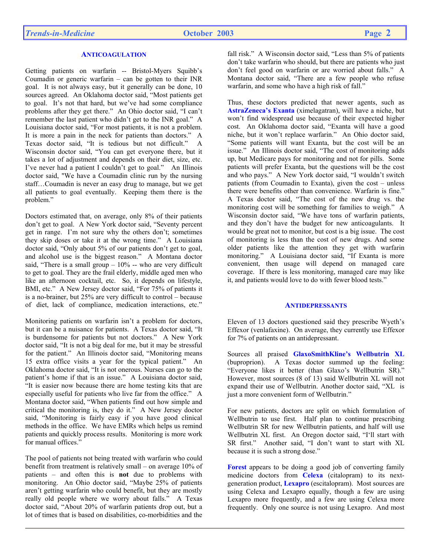# **ANTICOAGULATION**

Getting patients on warfarin -- Bristol-Myers Squibb's Coumadin or generic warfarin – can be gotten to their INR goal. It is not always easy, but it generally can be done, 10 sources agreed. An Oklahoma doctor said, "Most patients get to goal. It's not that hard, but we've had some compliance problems after they get there." An Ohio doctor said, "I can't remember the last patient who didn't get to the INR goal." A Louisiana doctor said, "For most patients, it is not a problem. It is more a pain in the neck for patients than doctors." A Texas doctor said, "It is tedious but not difficult." A Wisconsin doctor said, "You can get everyone there, but it takes a lot of adjustment and depends on their diet, size, etc. I've never had a patient I couldn't get to goal." An Illinois doctor said, "We have a Coumadin clinic run by the nursing staff…Coumadin is never an easy drug to manage, but we get all patients to goal eventually. Keeping them there is the problem."

Doctors estimated that, on average, only 8% of their patients don't get to goal. A New York doctor said, "Seventy percent get in range. I'm not sure why the others don't; sometimes they skip doses or take it at the wrong time." A Louisiana doctor said, "Only about 5% of our patients don't get to goal, and alcohol use is the biggest reason." A Montana doctor said, "There is a small group  $-10\%$  -- who are very difficult to get to goal. They are the frail elderly, middle aged men who like an afternoon cocktail, etc. So, it depends on lifestyle, BMI, etc." A New Jersey doctor said, "For 75% of patients it is a no-brainer, but 25% are very difficult to control – because of diet, lack of compliance, medication interactions, etc."

Monitoring patients on warfarin isn't a problem for doctors, but it can be a nuisance for patients. A Texas doctor said, "It is burdensome for patients but not doctors." A New York doctor said, "It is not a big deal for me, but it may be stressful for the patient." An Illinois doctor said, "Monitoring means 15 extra office visits a year for the typical patient." An Oklahoma doctor said, "It is not onerous. Nurses can go to the patient's home if that is an issue." A Louisiana doctor said, "It is easier now because there are home testing kits that are especially useful for patients who live far from the office." A Montana doctor said, "When patients find out how simple and critical the monitoring is, they do it." A New Jersey doctor said, "Monitoring is fairly easy if you have good clinical methods in the office. We have EMRs which helps us remind patients and quickly process results. Monitoring is more work for manual offices."

The pool of patients not being treated with warfarin who could benefit from treatment is relatively small – on average 10% of patients – and often this is **not** due to problems with monitoring. An Ohio doctor said, "Maybe 25% of patients aren't getting warfarin who could benefit, but they are mostly really old people where we worry about falls." A Texas doctor said, "About 20% of warfarin patients drop out, but a lot of times that is based on disabilities, co-morbidities and the

fall risk." A Wisconsin doctor said, "Less than 5% of patients" don't take warfarin who should, but there are patients who just don't feel good on warfarin or are worried about falls." A Montana doctor said, "There are a few people who refuse warfarin, and some who have a high risk of fall."

Thus, these doctors predicted that newer agents, such as **AstraZeneca's Exanta** (ximelagatran), will have a niche, but won't find widespread use because of their expected higher cost. An Oklahoma doctor said, "Exanta will have a good niche, but it won't replace warfarin." An Ohio doctor said, "Some patients will want Exanta, but the cost will be an issue." An Illinois doctor said, "The cost of monitoring adds up, but Medicare pays for monitoring and not for pills. Some patients will prefer Exanta, but the questions will be the cost and who pays." A New York doctor said, "I wouldn't switch patients (from Coumadin to Exanta), given the cost – unless there were benefits other than convenience. Warfarin is fine." A Texas doctor said, "The cost of the new drug vs. the monitoring cost will be something for families to weigh." A Wisconsin doctor said, "We have tons of warfarin patients, and they don't have the budget for new anticoagulants. It would be great not to monitor, but cost is a big issue. The cost of monitoring is less than the cost of new drugs. And some older patients like the attention they get with warfarin monitoring." A Louisiana doctor said, "If Exanta is more convenient, then usage will depend on managed care coverage. If there is less monitoring, managed care may like it, and patients would love to do with fewer blood tests."

## **ANTIDEPRESSANTS**

Eleven of 13 doctors questioned said they prescribe Wyeth's Effexor (venlafaxine). On average, they currently use Effexor for 7% of patients on an antidepressant.

Sources all praised **GlaxoSmithKline's Wellbutrin XL**  (buproprion). A Texas doctor summed up the feeling: "Everyone likes it better (than Glaxo's Wellbutrin SR)." However, most sources (8 of 13) said Wellbutrin XL will not expand their use of Wellbutrin. Another doctor said, "XL is just a more convenient form of Wellbutrin."

For new patients, doctors are split on which formulation of Wellbutrin to use first. Half plan to continue prescribing Wellbutrin SR for new Wellbutrin patients, and half will use Wellbutrin XL first. An Oregon doctor said, "I'll start with SR first." Another said, "I don't want to start with XL because it is such a strong dose."

**Forest** appears to be doing a good job of converting family medicine doctors from **Celexa** (citalopram) to its nextgeneration product, **Lexapro** (escitalopram). Most sources are using Celexa and Lexapro equally, though a few are using Lexapro more frequently, and a few are using Celexa more frequently. Only one source is not using Lexapro. And most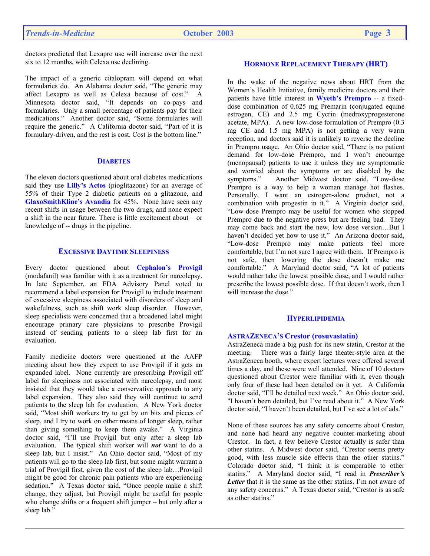doctors predicted that Lexapro use will increase over the next six to 12 months, with Celexa use declining.

The impact of a generic citalopram will depend on what formularies do. An Alabama doctor said, "The generic may affect Lexapro as well as Celexa because of cost." A Minnesota doctor said, "It depends on co-pays and formularies. Only a small percentage of patients pay for their medications." Another doctor said, "Some formularies will require the generic." A California doctor said, "Part of it is formulary-driven, and the rest is cost. Cost is the bottom line."

## **DIABETES**

The eleven doctors questioned about oral diabetes medications said they use **Lilly's Actos** (pioglitazone) for an average of 55% of their Type 2 diabetic patients on a glitazone, and **GlaxoSmithKline's Avandia** for 45%. None have seen any recent shifts in usage between the two drugs, and none expect a shift in the near future. There is little excitement about – or knowledge of -- drugs in the pipeline.

# **EXCESSIVE DAYTIME SLEEPINESS**

Every doctor questioned about **Cephalon's Provigil**  (modafanil) was familiar with it as a treatment for narcolepsy. In late September, an FDA Advisory Panel voted to recommend a label expansion for Provigil to include treatment of excessive sleepiness associated with disorders of sleep and wakefulness, such as shift work sleep disorder. However, sleep specialists were concerned that a broadened label might encourage primary care physicians to prescribe Provigil instead of sending patients to a sleep lab first for an evaluation.

Family medicine doctors were questioned at the AAFP meeting about how they expect to use Provigil if it gets an expanded label. None currently are prescribing Provigil off label for sleepiness not associated with narcolepsy, and most insisted that they would take a conservative approach to any label expansion. They also said they will continue to send patients to the sleep lab for evaluation. A New York doctor said, "Most shift workers try to get by on bits and pieces of sleep, and I try to work on other means of longer sleep, rather than giving something to keep them awake." A Virginia doctor said, "I'll use Provigil but only after a sleep lab evaluation. The typical shift worker will *not* want to do a sleep lab, but I insist." An Ohio doctor said, "Most of my patients will go to the sleep lab first, but some might warrant a trial of Provigil first, given the cost of the sleep lab…Provigil might be good for chronic pain patients who are experiencing sedation." A Texas doctor said, "Once people make a shift change, they adjust, but Provigil might be useful for people who change shifts or a frequent shift jumper – but only after a sleep lab."

# **HORMONE REPLACEMENT THERAPY (HRT)**

In the wake of the negative news about HRT from the Women's Health Initiative, family medicine doctors and their patients have little interest in **Wyeth's Prempro** -- a fixeddose combination of 0.625 mg Premarin (conjugated equine estrogen, CE) and 2.5 mg Cycrin (medroxyprogesterone acetate, MPA). A new low-dose formulation of Prempro (0.3 mg CE and 1.5 mg MPA) is not getting a very warm reception, and doctors said it is unlikely to reverse the decline in Prempro usage. An Ohio doctor said, "There is no patient demand for low-dose Prempro, and I won't encourage (menopausal) patients to use it unless they are symptomatic and worried about the symptoms or are disabled by the symptoms." Another Midwest doctor said, "Low-dose Prempro is a way to help a woman manage hot flashes. Personally, I want an estrogen-alone product, not a combination with progestin in it." A Virginia doctor said, "Low-dose Prempro may be useful for women who stopped Prempro due to the negative press but are feeling bad. They may come back and start the new, low dose version…But I haven't decided yet how to use it." An Arizona doctor said, "Low-dose Prempro may make patients feel more comfortable, but I'm not sure I agree with them. If Prempro is not safe, then lowering the dose doesn't make me comfortable." A Maryland doctor said, "A lot of patients would rather take the lowest possible dose, and I would rather prescribe the lowest possible dose. If that doesn't work, then I will increase the dose."

#### **HYPERLIPIDEMIA**

#### **ASTRAZENECA'S Crestor (rosuvastatin)**

AstraZeneca made a big push for its new statin, Crestor at the meeting. There was a fairly large theater-style area at the AstraZeneca booth, where expert lectures were offered several times a day, and these were well attended. Nine of 10 doctors questioned about Crestor were familiar with it, even though only four of these had been detailed on it yet. A California doctor said, "I'll be detailed next week." An Ohio doctor said, "I haven't been detailed, but I've read about it." A New York doctor said, "I haven't been detailed, but I've see a lot of ads."

None of these sources has any safety concerns about Crestor, and none had heard any negative counter-marketing about Crestor. In fact, a few believe Crestor actually is safer than other statins. A Midwest doctor said, "Crestor seems pretty good, with less muscle side effects than the other statins." Colorado doctor said, "I think it is comparable to other statins." A Maryland doctor said, "I read in *Prescriber's*  Letter that it is the same as the other statins. I'm not aware of any safety concerns." A Texas doctor said, "Crestor is as safe as other statins."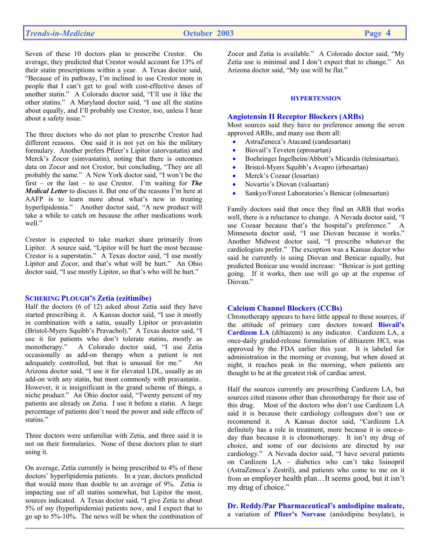Seven of these 10 doctors plan to prescribe Crestor. On average, they predicted that Crestor would account for 13% of their statin prescriptions within a year. A Texas doctor said, "Because of its pathway, I'm inclined to use Crestor more in people that I can't get to goal with cost-effective doses of another statin." A Colorado doctor said, "I'll use it like the other statins." A Maryland doctor said, "I use all the statins about equally, and I'll probably use Crestor, too, unless I hear about a safety issue."

The three doctors who do not plan to prescribe Crestor had different reasons. One said it is not yet on his the military formulary. Another prefers Pfizer's Lipitor (atorvastatin) and Merck's Zocor (simvastatin), noting that there is outcomes data on Zocor and not Crestor, but concluding, "They are all probably the same." A New York doctor said, "I won't be the first – or the last – to use Crestor. I'm waiting for *The Medical Letter* to discuss it. But one of the reasons I'm here at AAFP is to learn more about what's new in treating hyperlipidemia." Another doctor said, "A new product will take a while to catch on because the other medications work well."

Crestor is expected to take market share primarily from Lipitor. A source said, "Lipitor will be hurt the most because Crestor is a superstatin." A Texas doctor said, "I use mostly Lipitor and Zocor, and that's what will be hurt." An Ohio doctor said, "I use mostly Lipitor, so that's who will be hurt."

## **SCHERING PLOUGH'S Zetia (ezitimibe)**

Half the doctors (6 of 12) asked about Zetia said they have started prescribing it. A Kansas doctor said, "I use it mostly in combination with a satin, usually Lipitor or pravastatin (Bristol-Myers Squibb's Pravachol)." A Texas doctor said, "I use it for patients who don't tolerate statins, mostly as monotherapy." A Colorado doctor said, "I use Zetia occasionally as add-on therapy when a patient is not adequately controlled, but that is unusual for me." An Arizona doctor said, "I use it for elevated LDL, usually as an add-on with any statin, but most commonly with pravastatin.. However, it is insignificant in the grand scheme of things, a niche product." An Ohio doctor said, "Twenty percent of my patients are already on Zetia. I use it before a statin. A large percentage of patients don't need the power and side effects of statins."

Three doctors were unfamiliar with Zetia, and three said it is not on their formularies. None of these doctors plan to start using it.

On average, Zetia currently is being prescribed to 4% of these doctors' hyperlipidemia patients. In a year, doctors predicted that would more than double to an average of 9%. Zetia is impacting use of all statins somewhat, but Lipitor the most, sources indicated. A Texas doctor said, "I give Zetia to about 5% of my (hyperlipidemia) patients now, and I expect that to go up to 5%-10%. The news will be when the combination of

Zocor and Zetia is available." A Colorado doctor said, "My Zetia use is minimal and I don't expect that to change." An Arizona doctor said, "My use will be flat."

## **HYPERTENSION**

#### **Angiotensin II Receptor Blockers (ARBs)**

Most sources said they have no preference among the seven approved ARBs, and many use them all:

- AstraZeneca's Atacand (candesartan)
- Biovail's Teveten (eprosartan)
- Boehringer Ingelheim/Abbott's Micardis (telmisartan).
- Bristol-Myers Squibb's Avapro (irbesartan)
- Merck's Cozaar (losartan)
- Novartis's Diovan (valsartan)
- Sankyo/Forest Laboratories's Benicar (olmesartan)

Family doctors said that once they find an ARB that works well, there is a reluctance to change. A Nevada doctor said, "I use Cozaar because that's the hospital's preference." A Minnesota doctor said, "I use Diovan because it works." Another Midwest doctor said, "I prescribe whatever the cardiologists prefer." The exception was a Kansas doctor who said he currently is using Diovan and Benicar equally, but predicted Benicar use would increase: "Benicar is just getting going. If it works, then use will go up at the expense of Diovan."

## **Calcium Channel Blockers (CCBs)**

Chronotherapy appears to have little appeal to these sources, if the attitude of primary care doctors toward **Biovail's Cardizem LA** (diltiazem) is any indicator. Cardizem LA, a once-daily graded-release formulation of diltiazem HCl, was approved by the FDA earlier this year. It is labeled for administration in the morning or evening, but when dosed at night, it reaches peak in the morning, when patients are thought to be at the greatest risk of cardiac arrest.

Half the sources currently are prescribing Cardizem LA, but sources cited reasons other than chronotherapy for their use of this drug. Most of the doctors who don't use Cardizem LA said it is because their cardiology colleagues don't use or recommend it. A Kansas doctor said, "Cardizem LA definitely has a role in treatment, more because it is once-aday than because it is chronotherapy. It isn't my drug of choice, and some of our decisions are directed by our cardiology." A Nevada doctor said, "I have several patients on Cardizem LA – diabetics who can't take lisinopril (AstraZeneca's Zestril), and patients who come to me on it from an employer health plan…It seems good, but it isn't my drug of choice."

**Dr. Reddy/Par Pharmaceutical's amlodipine maleate,**  a variation of **Pfizer's Norvasc** (amlodipine besylate), is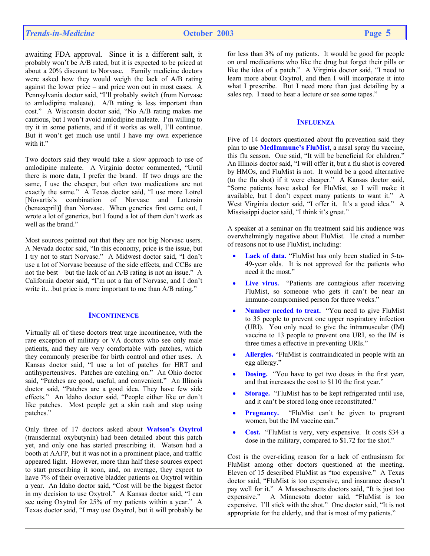awaiting FDA approval. Since it is a different salt, it probably won't be A/B rated, but it is expected to be priced at about a 20% discount to Norvasc. Family medicine doctors were asked how they would weigh the lack of A/B rating against the lower price – and price won out in most cases. A Pennsylvania doctor said, "I'll probably switch (from Norvasc to amlodipine maleate). A/B rating is less important than cost." A Wisconsin doctor said, "No A/B rating makes me cautious, but I won't avoid amlodipine maleate. I'm willing to try it in some patients, and if it works as well, I'll continue. But it won't get much use until I have my own experience with it."

Two doctors said they would take a slow approach to use of amlodipine maleate. A Virginia doctor commented, "Until there is more data, I prefer the brand. If two drugs are the same, I use the cheaper, but often two medications are not exactly the same." A Texas doctor said, "I use more Lotrel [Novartis's combination of Norvasc and Lotensin (benazepril)] than Norvasc. When generics first came out, I wrote a lot of generics, but I found a lot of them don't work as well as the brand."

Most sources pointed out that they are not big Norvasc users. A Nevada doctor said, "In this economy, price is the issue, but I try not to start Norvasc." A Midwest doctor said, "I don't use a lot of Norvasc because of the side effects, and CCBs are not the best – but the lack of an A/B rating is not an issue." A California doctor said, "I'm not a fan of Norvasc, and I don't write it...but price is more important to me than A/B rating."

## **INCONTINENCE**

Virtually all of these doctors treat urge incontinence, with the rare exception of military or VA doctors who see only male patients, and they are very comfortable with patches, which they commonly prescribe for birth control and other uses. A Kansas doctor said, "I use a lot of patches for HRT and antihypertensives. Patches are catching on." An Ohio doctor said, "Patches are good, useful, and convenient." An Illinois doctor said, "Patches are a good idea. They have few side effects." An Idaho doctor said, "People either like or don't like patches. Most people get a skin rash and stop using patches."

Only three of 17 doctors asked about **Watson's Oxytrol**  (transdermal oxybutynin) had been detailed about this patch yet, and only one has started prescribing it. Watson had a booth at AAFP, but it was not in a prominent place, and traffic appeared light. However, more than half these sources expect to start prescribing it soon, and, on average, they expect to have 7% of their overactive bladder patients on Oxytrol within a year. An Idaho doctor said, "Cost will be the biggest factor in my decision to use Oxytrol." A Kansas doctor said, "I can see using Oxytrol for 25% of my patients within a year." A Texas doctor said, "I may use Oxytrol, but it will probably be

for less than 3% of my patients. It would be good for people on oral medications who like the drug but forget their pills or like the idea of a patch." A Virginia doctor said, "I need to learn more about Oxytrol, and then I will incorporate it into what I prescribe. But I need more than just detailing by a sales rep. I need to hear a lecture or see some tapes."

## **INFLUENZA**

Five of 14 doctors questioned about flu prevention said they plan to use **MedImmune's FluMist**, a nasal spray flu vaccine, this flu season. One said, "It will be beneficial for children." An Illinois doctor said, "I will offer it, but a flu shot is covered by HMOs, and FluMist is not. It would be a good alternative (to the flu shot) if it were cheaper." A Kansas doctor said, "Some patients have asked for FluMist, so I will make it available, but I don't expect many patients to want it." A West Virginia doctor said, "I offer it. It's a good idea." A Mississippi doctor said, "I think it's great."

A speaker at a seminar on flu treatment said his audience was overwhelmingly negative about FluMist. He cited a number of reasons not to use FluMist, including:

- Lack of data. "FluMist has only been studied in 5-to-49-year olds. It is not approved for the patients who need it the most."
- **Live virus.** "Patients are contagious after receiving FluMist, so someone who gets it can't be near an immune-compromised person for three weeks."
- **Number needed to treat.** "You need to give FluMist to 35 people to prevent one upper respiratory infection (URI). You only need to give the intramuscular (IM) vaccine to 13 people to prevent one URI, so the IM is three times a effective in preventing URIs."
- **Allergies.** "FluMist is contraindicated in people with an egg allergy."
- **Dosing.** "You have to get two doses in the first year, and that increases the cost to \$110 the first year."
- Storage. "FluMist has to be kept refrigerated until use, and it can't be stored long once reconstituted."
- **Pregnancy.** "FluMist can't be given to pregnant women, but the IM vaccine can."
- **Cost.** "FluMist is very, very expensive. It costs \$34 a dose in the military, compared to \$1.72 for the shot."

Cost is the over-riding reason for a lack of enthusiasm for FluMist among other doctors questioned at the meeting. Eleven of 15 described FluMist as "too expensive." A Texas doctor said, "FluMist is too expensive, and insurance doesn't pay well for it." A Massachusetts doctors said, "It is just too expensive." A Minnesota doctor said, "FluMist is too expensive. I'll stick with the shot." One doctor said, "It is not appropriate for the elderly, and that is most of my patients."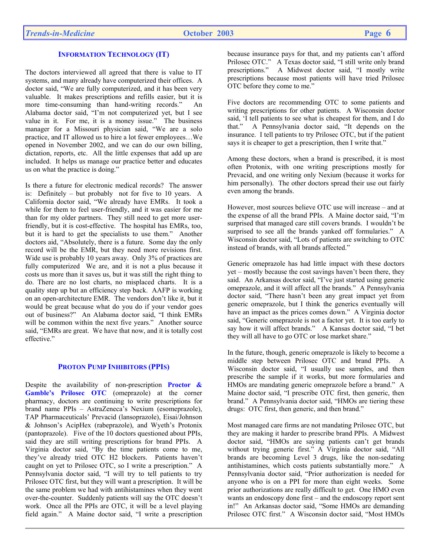# **INFORMATION TECHNOLOGY (IT)**

The doctors interviewed all agreed that there is value to IT systems, and many already have computerized their offices. A doctor said, "We are fully computerized, and it has been very valuable. It makes prescriptions and refills easier, but it is more time-consuming than hand-writing records." An Alabama doctor said, "I'm not computerized yet, but I see value in it. For me, it is a money issue." The business manager for a Missouri physician said, "We are a solo practice, and IT allowed us to hire a lot fewer employees…We opened in November 2002, and we can do our own billing, dictation, reports, etc. All the little expenses that add up are included. It helps us manage our practice better and educates us on what the practice is doing."

Is there a future for electronic medical records? The answer is: Definitely – but probably not for five to 10 years. A California doctor said, "We already have EMRs. It took a while for them to feel user-friendly, and it was easier for me than for my older partners. They still need to get more userfriendly, but it is cost-effective. The hospital has EMRs, too, but it is hard to get the specialists to use them." Another doctors aid, "Absolutely, there is a future. Some day the only record will be the EMR, but they need more revisions first. Wide use is probably 10 years away. Only 3% of practices are fully computerized We are, and it is not a plus because it costs us more than it saves us, but it was still the right thing to do. There are no lost charts, no misplaced charts. It is a quality step up but an efficiency step back. AAFP is working on an open-architecture EMR. The vendors don't like it, but it would be great because what do you do if your vendor goes out of business?" An Alabama doctor said, "I think EMRs will be common within the next five years." Another source said, "EMRs are great. We have that now, and it is totally cost effective."

# **PROTON PUMP INHIBITORS (PPIS)**

Despite the availability of non-prescription **Proctor & Gamble's Prilosec OTC** (omeprazole) at the corner pharmacy, doctors are continuing to write prescriptions for brand name PPIs – AstraZeneca's Nexium (esomeprazole), TAP Pharmaceuticals' Prevacid (lansoprazole), Eisai/Johnson & Johnson's AcipHex (rabeprazole), and Wyeth's Protonix (pantoprazole). Five of the 10 doctors questioned about PPIs, said they are still writing prescriptions for brand PPIs. A Virginia doctor said, "By the time patients come to me, they've already tried OTC H2 blockers. Patients haven't caught on yet to Prilosec OTC, so I write a prescription." A Pennsylvania doctor said, "I will try to tell patients to try Prilosec OTC first, but they will want a prescription. It will be the same problem we had with antihistamines when they went over-the-counter. Suddenly patients will say the OTC doesn't work. Once all the PPIs are OTC, it will be a level playing field again." A Maine doctor said, "I write a prescription

because insurance pays for that, and my patients can't afford Prilosec OTC." A Texas doctor said, "I still write only brand prescriptions." A Midwest doctor said, "I mostly write prescriptions because most patients will have tried Prilosec OTC before they come to me."

Five doctors are recommending OTC to some patients and writing prescriptions for other patients. A Wisconsin doctor said, 'I tell patients to see what is cheapest for them, and I do that." A Pennsylvania doctor said, "It depends on the insurance. I tell patients to try Prilosec OTC, but if the patient says it is cheaper to get a prescription, then I write that."

Among these doctors, when a brand is prescribed, it is most often Protonix, with one writing prescriptions mostly for Prevacid, and one writing only Nexium (because it works for him personally). The other doctors spread their use out fairly even among the brands.

However, most sources believe OTC use will increase – and at the expense of all the brand PPIs. A Maine doctor said, "I'm surprised that managed care still covers brands. I wouldn't be surprised to see all the brands yanked off formularies." A Wisconsin doctor said, "Lots of patients are switching to OTC instead of brands, with all brands affected."

Generic omeprazole has had little impact with these doctors yet – mostly because the cost savings haven't been there, they said. An Arkansas doctor said, "I've just started using generic omeprazole, and it will affect all the brands." A Pennsylvania doctor said, "There hasn't been any great impact yet from generic omeprazole, but I think the generics eventually will have an impact as the prices comes down." A Virginia doctor said, "Generic omeprazole is not a factor yet. It is too early to say how it will affect brands." A Kansas doctor said, "I bet they will all have to go OTC or lose market share."

In the future, though, generic omeprazole is likely to become a middle step between Prilosec OTC and brand PPIs. A Wisconsin doctor said, "I usually use samples, and then prescribe the sample if it works, but more formularies and HMOs are mandating generic omeprazole before a brand." A Maine doctor said, "I prescribe OTC first, then generic, then brand." A Pennsylvania doctor said, "HMOs are tiering these drugs: OTC first, then generic, and then brand."

Most managed care firms are not mandating Prilosec OTC, but they are making it harder to prescribe brand PPIs. A Midwest doctor said, "HMOs are saying patients can't get brands without trying generic first." A Virginia doctor said, "All brands are becoming Level 3 drugs, like the non-sedating antihistamines, which costs patients substantially more." A Pennsylvania doctor said, "Prior authorization is needed for anyone who is on a PPI for more than eight weeks. Some prior authorizations are really difficult to get. One HMO even wants an endoscopy done first – and the endoscopy report sent in!" An Arkansas doctor said, "Some HMOs are demanding Prilosec OTC first." A Wisconsin doctor said, "Most HMOs